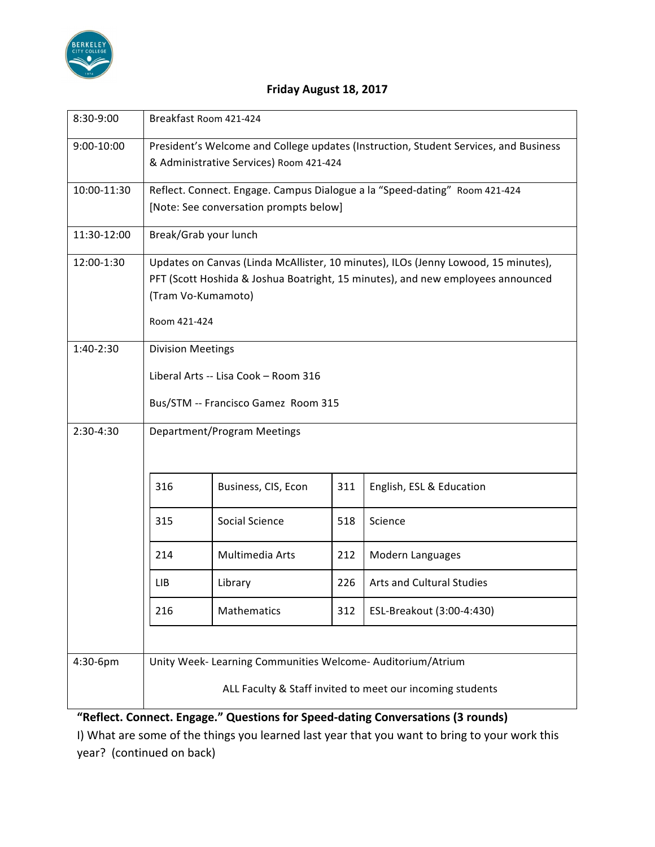

## **Friday August 18, 2017**

| 8:30-9:00   | Breakfast Room 421-424                                                                                                                                                |                     |     |                           |
|-------------|-----------------------------------------------------------------------------------------------------------------------------------------------------------------------|---------------------|-----|---------------------------|
| 9:00-10:00  | President's Welcome and College updates (Instruction, Student Services, and Business<br>& Administrative Services) Room 421-424                                       |                     |     |                           |
| 10:00-11:30 | Reflect. Connect. Engage. Campus Dialogue a la "Speed-dating" Room 421-424                                                                                            |                     |     |                           |
|             | [Note: See conversation prompts below]                                                                                                                                |                     |     |                           |
| 11:30-12:00 | Break/Grab your lunch                                                                                                                                                 |                     |     |                           |
| 12:00-1:30  | Updates on Canvas (Linda McAllister, 10 minutes), ILOs (Jenny Lowood, 15 minutes),<br>PFT (Scott Hoshida & Joshua Boatright, 15 minutes), and new employees announced |                     |     |                           |
|             | (Tram Vo-Kumamoto)                                                                                                                                                    |                     |     |                           |
|             | Room 421-424                                                                                                                                                          |                     |     |                           |
| 1:40-2:30   | <b>Division Meetings</b>                                                                                                                                              |                     |     |                           |
|             | Liberal Arts -- Lisa Cook - Room 316                                                                                                                                  |                     |     |                           |
|             | Bus/STM -- Francisco Gamez Room 315                                                                                                                                   |                     |     |                           |
| 2:30-4:30   | Department/Program Meetings                                                                                                                                           |                     |     |                           |
|             | 316                                                                                                                                                                   | Business, CIS, Econ | 311 | English, ESL & Education  |
|             | 315                                                                                                                                                                   | Social Science      | 518 | Science                   |
|             | 214                                                                                                                                                                   | Multimedia Arts     | 212 | Modern Languages          |
|             | LIB                                                                                                                                                                   | Library             | 226 | Arts and Cultural Studies |
|             | 216                                                                                                                                                                   | Mathematics         | 312 | ESL-Breakout (3:00-4:430) |
|             |                                                                                                                                                                       |                     |     |                           |
| 4:30-6pm    | Unity Week- Learning Communities Welcome- Auditorium/Atrium                                                                                                           |                     |     |                           |
|             | ALL Faculty & Staff invited to meet our incoming students                                                                                                             |                     |     |                           |

**"Reflect. Connect. Engage." Questions for Speed-dating Conversations (3 rounds)**

I) What are some of the things you learned last year that you want to bring to your work this year? (continued on back)